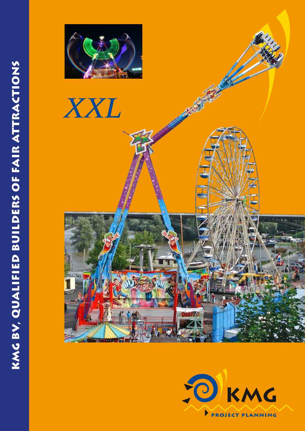

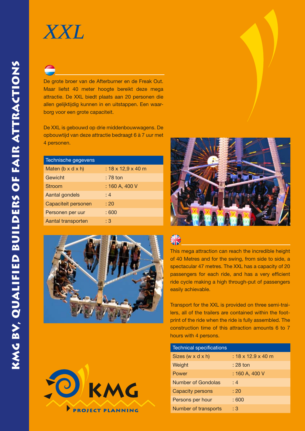

De grote broer van de Afterburner en de Freak Out. Maar liefst 40 meter hoogte bereikt deze mega attractie. De XXL biedt plaats aan 20 personen die allen gelijktijdig kunnen in en uitstappen. Een waarborg voor een grote capaciteit.

De XXL is gebouwd op drie middenbouwwagens. De opbouwtijd van deze attractie bedraagt 6 à 7 uur met 4 personen.

| Technische gegevens             |                                |
|---------------------------------|--------------------------------|
| Maten ( $b \times d \times h$ ) | : $18 \times 12,9 \times 40$ m |
| Gewicht                         | : 78 ton                       |
| <b>Stroom</b>                   | : 160 A, 400 V                 |
| Aantal gondels                  | : 4                            |
| Capaciteit personen             | : 20                           |
| Personen per uur                | : 600                          |
| Aantal transporten              | : 3                            |







## **AR**

This mega attraction can reach the incredible height of 40 Metres and for the swing, from side to side, a spectacular 47 metres. The XXL has a capacity of 20 passengers for each ride, and has a very efficient ride cycle making a high through-put of passengers easily achievable.

Transport for the XXL is provided on three semi-trailers, all of the trailers are contained within the footprint of the ride when the ride is fully assembled. The construction time of this attraction amounts 6 to 7 hours with 4 persons.

| <b>Technical specifications</b> |                                |
|---------------------------------|--------------------------------|
| Sizes (w x d x h)               | $: 18 \times 12.9 \times 40$ m |
| Weight                          | : 28 ton                       |
| Power                           | : 160 A, 400 V                 |
| Number of Gondolas              | : 4                            |
| Capacity persons                | : 20                           |
| Persons per hour                | :600                           |
| Number of transports            | : 3                            |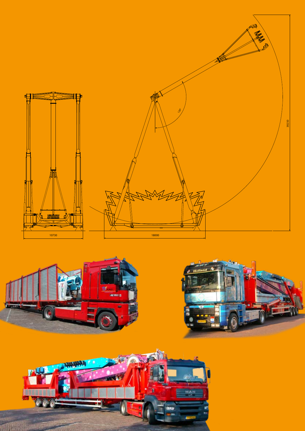